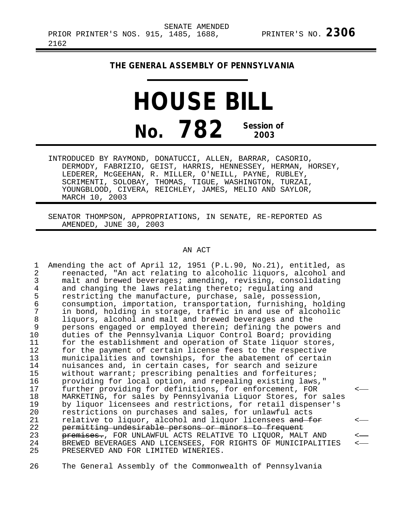## **THE GENERAL ASSEMBLY OF PENNSYLVANIA**

## **HOUSE BILL No. 782 Session of 2003**

INTRODUCED BY RAYMOND, DONATUCCI, ALLEN, BARRAR, CASORIO, DERMODY, FABRIZIO, GEIST, HARRIS, HENNESSEY, HERMAN, HORSEY, LEDERER, McGEEHAN, R. MILLER, O'NEILL, PAYNE, RUBLEY, SCRIMENTI, SOLOBAY, THOMAS, TIGUE, WASHINGTON, TURZAI, YOUNGBLOOD, CIVERA, REICHLEY, JAMES, MELIO AND SAYLOR, MARCH 10, 2003

SENATOR THOMPSON, APPROPRIATIONS, IN SENATE, RE-REPORTED AS AMENDED, JUNE 30, 2003

## AN ACT

1 Amending the act of April 12, 1951 (P.L.90, No.21), entitled, as<br>2 Teenacted, "An act relating to alcoholic liguors, alcohol and 2 reenacted, "An act relating to alcoholic liquors, alcohol and<br>3 malt and brewed beverages; amending, revising, consolidating 3 malt and brewed beverages; amending, revising, consolidating<br>4 and changing the laws relating thereto; regulating and 4 and changing the laws relating thereto; regulating and<br>5 restricting the manufacture, purchase, sale, possession 5 restricting the manufacture, purchase, sale, possession,<br>6 consumption, importation, transportation, furnishing, ho 6 consumption, importation, transportation, furnishing, holding 7 in bond, holding in storage, traffic in and use of alcoholic<br>8 liquors, alcohol and malt and brewed beverages and the 8 liquors, alcohol and malt and brewed beverages and the<br>9 persons engaged or emploved therein; defining the powe 9 persons engaged or employed therein; defining the powers and<br>10 duties of the Pennsylvania Liguor Control Board; providing 10 duties of the Pennsylvania Liquor Control Board; providing<br>11 for the establishment and operation of State liquor stores 11 for the establishment and operation of State liquor stores,<br>12 for the payment of certain license fees to the respective 12 for the payment of certain license fees to the respective<br>13 municipalities and townships, for the abatement of certain 13 municipalities and townships, for the abatement of certain<br>14 muisances and, in certain cases, for search and seizure 14 muisances and, in certain cases, for search and seizure<br>15 without warrant; prescribing penalties and forfeitures; 15 without warrant; prescribing penalties and forfeitures;<br>16 providing for local option, and repealing existing laws 16 providing for local option, and repealing existing laws,"<br>17 further providing for definitions, for enforcement, FOR 17 further providing for definitions, for enforcement, FOR < 18 MARKETING, for sales by Pennsylvania Liquor Stores, for sales<br>19 by liquor licensees and restrictions, for retail dispenser's 19 by liquor licensees and restrictions, for retail dispenser's<br>20 mestrictions on purchases and sales, for unlawful acts 20 restrictions on purchases and sales, for unlawful acts<br>21 relative to liguor, alcohol and liguor licensees and f 21 relative to liquor, alcohol and liquor licensees and for<br>22 permitting undesirable persons or minors to frequent 22 permitting undesirable persons or minors to frequent 23 premises., FOR UNLAWFUL ACTS RELATIVE TO LIQUOR, MALT AND 24 SREWED BEVERAGES AND LICENSEES, FOR RIGHTS OF MUNICIPALIT. 24 BREWED BEVERAGES AND LICENSEES, FOR RIGHTS OF MUNICIPALITIES <---<br>25 PRESERVED AND FOR LIMITED WINERIES. PRESERVED AND FOR LIMITED WINERIES.

26 The General Assembly of the Commonwealth of Pennsylvania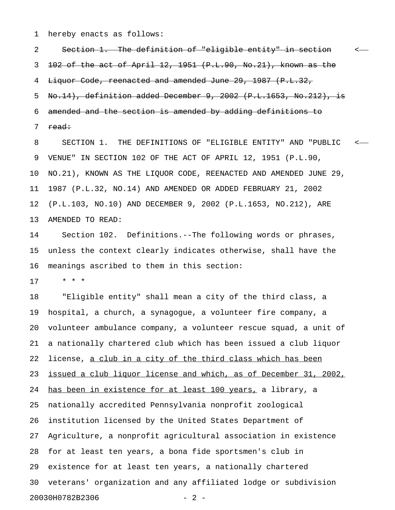1 hereby enacts as follows:

2 Section 1. The definition of "eligible entity" in section < 3 102 of the act of April 12, 1951 (P.L.90, No.21), known as the 4 Liquor Code, reenacted and amended June 29, 1987 (P.L.32, 5 No.14), definition added December 9, 2002 (P.L.1653, No.212), is 6 amended and the section is amended by adding definitions to 7 <del>read:</del>

8 SECTION 1. THE DEFINITIONS OF "ELIGIBLE ENTITY" AND "PUBLIC < 9 VENUE" IN SECTION 102 OF THE ACT OF APRIL 12, 1951 (P.L.90, 10 NO.21), KNOWN AS THE LIQUOR CODE, REENACTED AND AMENDED JUNE 29, 11 1987 (P.L.32, NO.14) AND AMENDED OR ADDED FEBRUARY 21, 2002 12 (P.L.103, NO.10) AND DECEMBER 9, 2002 (P.L.1653, NO.212), ARE 13 AMENDED TO READ:

14 Section 102. Definitions.--The following words or phrases, 15 unless the context clearly indicates otherwise, shall have the 16 meanings ascribed to them in this section:

17 \* \* \*

18 "Eligible entity" shall mean a city of the third class, a 19 hospital, a church, a synagogue, a volunteer fire company, a 20 volunteer ambulance company, a volunteer rescue squad, a unit of 21 a nationally chartered club which has been issued a club liquor 22 license, a club in a city of the third class which has been 23 issued a club liquor license and which, as of December 31, 2002, 24 has been in existence for at least 100 years, a library, a 25 nationally accredited Pennsylvania nonprofit zoological 26 institution licensed by the United States Department of 27 Agriculture, a nonprofit agricultural association in existence 28 for at least ten years, a bona fide sportsmen's club in 29 existence for at least ten years, a nationally chartered 30 veterans' organization and any affiliated lodge or subdivision 20030H0782B2306 - 2 -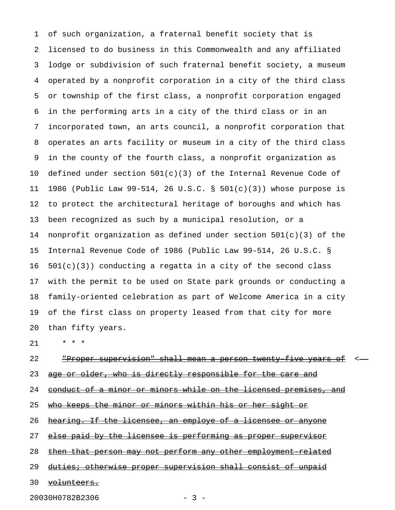1 of such organization, a fraternal benefit society that is 2 licensed to do business in this Commonwealth and any affiliated 3 lodge or subdivision of such fraternal benefit society, a museum 4 operated by a nonprofit corporation in a city of the third class 5 or township of the first class, a nonprofit corporation engaged 6 in the performing arts in a city of the third class or in an 7 incorporated town, an arts council, a nonprofit corporation that 8 operates an arts facility or museum in a city of the third class 9 in the county of the fourth class, a nonprofit organization as 10 defined under section 501(c)(3) of the Internal Revenue Code of 11 1986 (Public Law 99-514, 26 U.S.C. § 501(c)(3)) whose purpose is 12 to protect the architectural heritage of boroughs and which has 13 been recognized as such by a municipal resolution, or a 14 nonprofit organization as defined under section 501(c)(3) of the 15 Internal Revenue Code of 1986 (Public Law 99-514, 26 U.S.C. §  $16$   $501(c)(3)$  conducting a regatta in a city of the second class 17 with the permit to be used on State park grounds or conducting a 18 family-oriented celebration as part of Welcome America in a city 19 of the first class on property leased from that city for more 20 than fifty years.

21 \* \* \*

## 22 The Proper supervision" shall mean a person twenty five years of  $\leq$ 23 age or older, who is directly responsible for the care and 24 conduct of a minor or minors while on the licensed premises, and 25 who keeps the minor or minors within his or her sight or

26 hearing. If the licensee, an employe of a licensee or anyone

27 else paid by the licensee is performing as proper supervisor

28 then that person may not perform any other employment related

29 duties; otherwise proper supervision shall consist of unpaid

30 volunteers.

20030H0782B2306 - 3 -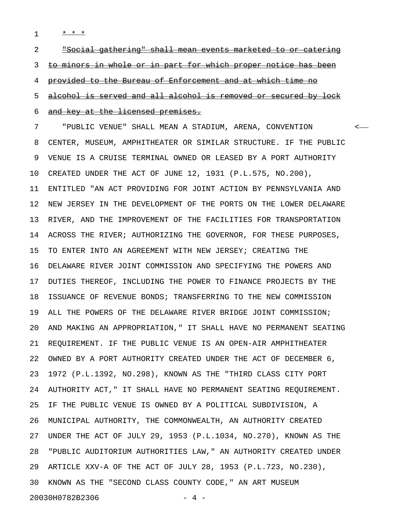1 **\* \* \*** 

2 <u>"Social gathering" shall mean events marketed to or catering</u> 3 to minors in whole or in part for which proper notice has been 4 provided to the Bureau of Enforcement and at which time no 5 alcohol is served and all alcohol is removed or secured by lock 6 and key at the licensed premises. 7 "PUBLIC VENUE" SHALL MEAN A STADIUM, ARENA, CONVENTION <

8 CENTER, MUSEUM, AMPHITHEATER OR SIMILAR STRUCTURE. IF THE PUBLIC 9 VENUE IS A CRUISE TERMINAL OWNED OR LEASED BY A PORT AUTHORITY 10 CREATED UNDER THE ACT OF JUNE 12, 1931 (P.L.575, NO.200), 11 ENTITLED "AN ACT PROVIDING FOR JOINT ACTION BY PENNSYLVANIA AND 12 NEW JERSEY IN THE DEVELOPMENT OF THE PORTS ON THE LOWER DELAWARE 13 RIVER, AND THE IMPROVEMENT OF THE FACILITIES FOR TRANSPORTATION 14 ACROSS THE RIVER; AUTHORIZING THE GOVERNOR, FOR THESE PURPOSES, 15 TO ENTER INTO AN AGREEMENT WITH NEW JERSEY; CREATING THE 16 DELAWARE RIVER JOINT COMMISSION AND SPECIFYING THE POWERS AND 17 DUTIES THEREOF, INCLUDING THE POWER TO FINANCE PROJECTS BY THE 18 ISSUANCE OF REVENUE BONDS; TRANSFERRING TO THE NEW COMMISSION 19 ALL THE POWERS OF THE DELAWARE RIVER BRIDGE JOINT COMMISSION; 20 AND MAKING AN APPROPRIATION," IT SHALL HAVE NO PERMANENT SEATING 21 REQUIREMENT. IF THE PUBLIC VENUE IS AN OPEN-AIR AMPHITHEATER 22 OWNED BY A PORT AUTHORITY CREATED UNDER THE ACT OF DECEMBER 6, 23 1972 (P.L.1392, NO.298), KNOWN AS THE "THIRD CLASS CITY PORT 24 AUTHORITY ACT," IT SHALL HAVE NO PERMANENT SEATING REQUIREMENT. 25 IF THE PUBLIC VENUE IS OWNED BY A POLITICAL SUBDIVISION, A 26 MUNICIPAL AUTHORITY, THE COMMONWEALTH, AN AUTHORITY CREATED 27 UNDER THE ACT OF JULY 29, 1953 (P.L.1034, NO.270), KNOWN AS THE 28 "PUBLIC AUDITORIUM AUTHORITIES LAW," AN AUTHORITY CREATED UNDER 29 ARTICLE XXV-A OF THE ACT OF JULY 28, 1953 (P.L.723, NO.230), 30 KNOWN AS THE "SECOND CLASS COUNTY CODE," AN ART MUSEUM

20030H0782B2306 - 4 -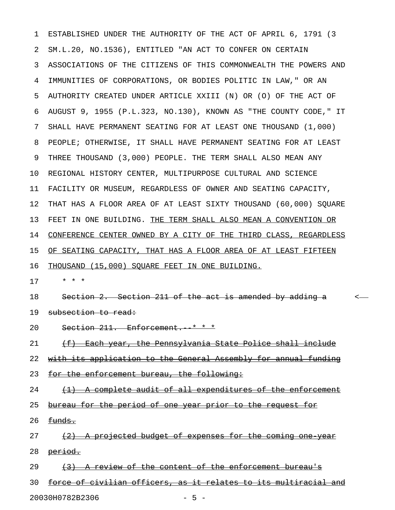1 ESTABLISHED UNDER THE AUTHORITY OF THE ACT OF APRIL 6, 1791 (3 2 SM.L.20, NO.1536), ENTITLED "AN ACT TO CONFER ON CERTAIN 3 ASSOCIATIONS OF THE CITIZENS OF THIS COMMONWEALTH THE POWERS AND 4 IMMUNITIES OF CORPORATIONS, OR BODIES POLITIC IN LAW," OR AN 5 AUTHORITY CREATED UNDER ARTICLE XXIII (N) OR (O) OF THE ACT OF 6 AUGUST 9, 1955 (P.L.323, NO.130), KNOWN AS "THE COUNTY CODE," IT 7 SHALL HAVE PERMANENT SEATING FOR AT LEAST ONE THOUSAND (1,000) 8 PEOPLE; OTHERWISE, IT SHALL HAVE PERMANENT SEATING FOR AT LEAST 9 THREE THOUSAND (3,000) PEOPLE. THE TERM SHALL ALSO MEAN ANY 10 REGIONAL HISTORY CENTER, MULTIPURPOSE CULTURAL AND SCIENCE 11 FACILITY OR MUSEUM, REGARDLESS OF OWNER AND SEATING CAPACITY, 12 THAT HAS A FLOOR AREA OF AT LEAST SIXTY THOUSAND (60,000) SQUARE 13 FEET IN ONE BUILDING. THE TERM SHALL ALSO MEAN A CONVENTION OR 14 CONFERENCE CENTER OWNED BY A CITY OF THE THIRD CLASS, REGARDLESS 15 OF SEATING CAPACITY, THAT HAS A FLOOR AREA OF AT LEAST FIFTEEN 16 THOUSAND (15,000) SQUARE FEET IN ONE BUILDING. 17 \* \* \* 18 Section 2. Section 211 of the act is amended by adding a section 2. 19 subsection to read: 20 Section 211. Enforcement. \* \* \* 21 (f) Each year, the Pennsylvania State Police shall include 22 with its application to the General Assembly for annual funding 23 for the enforcement bureau, the following:  $24$  (1) A complete audit of all expenditures of the enforcement 25 bureau for the period of one year prior to the request for  $26$   $~~Eunds~~$ .</del>  $27$  (2) A projected budget of expenses for the coming one year 28 <del>period.</del> 29  $(3)$  A review of the content of the enforcement bureau's 30 force of civilian officers, as it relates to its multiracial and 20030H0782B2306 - 5 -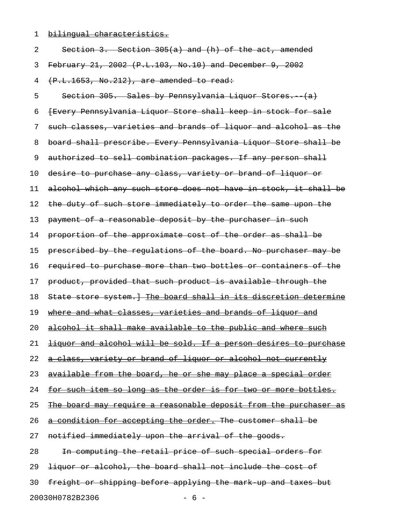1 bilingual characteristics.

| 2  | Section 3. Section 305(a) and (h) of the act, amended                 |
|----|-----------------------------------------------------------------------|
| 3  | February 21, 2002 (P.L.103, No.10) and December 9, 2002               |
| 4  | (P.L.1653, No.212), are amended to read:                              |
| 5  | Section 305. Sales by Pennsylvania Liquor Stores. (a)                 |
| 6  | {Every Pennsylvania Liquor Store shall keep in stock for sale         |
| 7  | such classes, varieties and brands of liquor and alcohol as the       |
| 8  | board shall prescribe. Every Pennsylvania Liquor Store shall be       |
| 9  | authorized to sell combination packages. If any person shall          |
| 10 | desire to purchase any class, variety or brand of liquor or           |
| 11 | alcohol which any such store does not have in stock, it shall be      |
| 12 | the duty of such store immediately to order the same upon the         |
| 13 | payment of a reasonable deposit by the purchaser in such              |
| 14 | proportion of the approximate cost of the order as shall be           |
| 15 | prescribed by the requlations of the board. No purchaser may be       |
| 16 | required to purchase more than two bottles or containers of the       |
| 17 | product, provided that such product is available through the          |
| 18 | State store system. The board shall in its discretion determine       |
| 19 | where and what classes, varieties and brands of liquor and            |
| 20 | alcohol it shall make available to the public and where such          |
| 21 | liquor and alcohol will be sold. If a person desires to purchase      |
| 22 | a class, variety or brand of liquor or alcohol not currently          |
| 23 | available from the board, he or she may place a special order         |
| 24 | <u>for such item so long as the order is for two or more bottles.</u> |
| 25 | The board may require a reasonable deposit from the purchaser as      |
| 26 | a condition for accepting the order. The customer shall be            |
| 27 | notified immediately upon the arrival of the goods.                   |
| 28 | In computing the retail price of such special orders for              |
| 29 | liquor or alcohol, the board shall not include the cost of            |
| 30 | freight or shipping before applying the mark up and taxes but         |
|    | 20030H0782B2306<br>$-6-$                                              |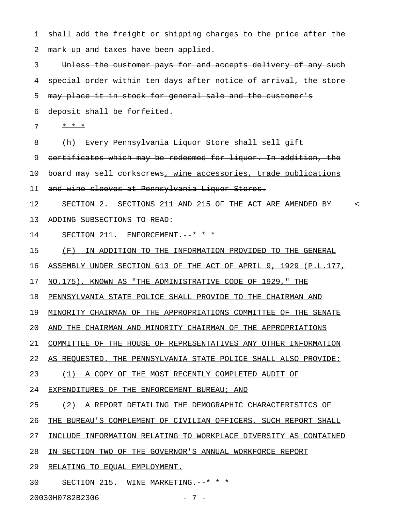1 shall add the freight or shipping charges to the price after the 2 mark-up and taxes have been applied. 3 Unless the customer pays for and accepts delivery of any such 4 special order within ten days after notice of arrival, the store 5 may place it in stock for general sale and the customer's 6 deposit shall be forfeited.  $7 \times x + x$ 8 (h) Every Pennsylvania Liquor Store shall sell gift 9 certificates which may be redeemed for liquor. In addition, the 10 board may sell corkscrews, wine accessories, trade publications 11 and wine sleeves at Pennsylvania Liquor Stores. 12 SECTION 2. SECTIONS 211 AND 215 OF THE ACT ARE AMENDED BY < 13 ADDING SUBSECTIONS TO READ: 14 SECTION 211. ENFORCEMENT.--\* \* \* 15 (F) IN ADDITION TO THE INFORMATION PROVIDED TO THE GENERAL 16 ASSEMBLY UNDER SECTION 613 OF THE ACT OF APRIL 9, 1929 (P.L.177, 17 NO.175), KNOWN AS "THE ADMINISTRATIVE CODE OF 1929," THE 18 PENNSYLVANIA STATE POLICE SHALL PROVIDE TO THE CHAIRMAN AND 19 MINORITY CHAIRMAN OF THE APPROPRIATIONS COMMITTEE OF THE SENATE 20 AND THE CHAIRMAN AND MINORITY CHAIRMAN OF THE APPROPRIATIONS 21 COMMITTEE OF THE HOUSE OF REPRESENTATIVES ANY OTHER INFORMATION 22 AS REQUESTED. THE PENNSYLVANIA STATE POLICE SHALL ALSO PROVIDE: 23 (1) A COPY OF THE MOST RECENTLY COMPLETED AUDIT OF 24 EXPENDITURES OF THE ENFORCEMENT BUREAU; AND 25 (2) A REPORT DETAILING THE DEMOGRAPHIC CHARACTERISTICS OF 26 THE BUREAU'S COMPLEMENT OF CIVILIAN OFFICERS. SUCH REPORT SHALL 27 INCLUDE INFORMATION RELATING TO WORKPLACE DIVERSITY AS CONTAINED 28 IN SECTION TWO OF THE GOVERNOR'S ANNUAL WORKFORCE REPORT 29 RELATING TO EQUAL EMPLOYMENT. 30 SECTION 215. WINE MARKETING.--\* \* \*

20030H0782B2306 - 7 -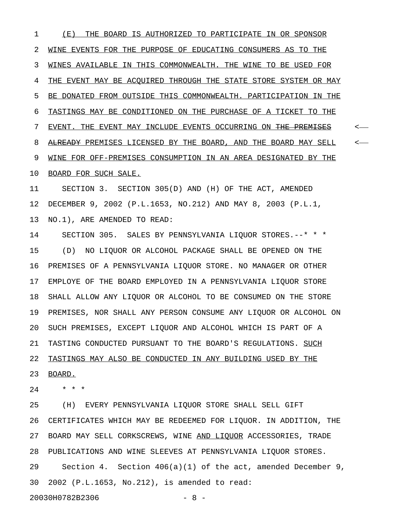1 (E) THE BOARD IS AUTHORIZED TO PARTICIPATE IN OR SPONSOR 2 WINE EVENTS FOR THE PURPOSE OF EDUCATING CONSUMERS AS TO THE 3 WINES AVAILABLE IN THIS COMMONWEALTH. THE WINE TO BE USED FOR 4 THE EVENT MAY BE ACOUIRED THROUGH THE STATE STORE SYSTEM OR MAY 5 BE DONATED FROM OUTSIDE THIS COMMONWEALTH. PARTICIPATION IN THE 6 TASTINGS MAY BE CONDITIONED ON THE PURCHASE OF A TICKET TO THE 7 EVENT. THE EVENT MAY INCLUDE EVENTS OCCURRING ON <del>THE PREMISES</del> < 8 ALREADY PREMISES LICENSED BY THE BOARD, AND THE BOARD MAY SELL <-9 WINE FOR OFF-PREMISES CONSUMPTION IN AN AREA DESIGNATED BY THE 10 BOARD FOR SUCH SALE.

11 SECTION 3. SECTION 305(D) AND (H) OF THE ACT, AMENDED 12 DECEMBER 9, 2002 (P.L.1653, NO.212) AND MAY 8, 2003 (P.L.1, 13 NO.1), ARE AMENDED TO READ:

14 SECTION 305. SALES BY PENNSYLVANIA LIQUOR STORES.--\* \* \* 15 (D) NO LIQUOR OR ALCOHOL PACKAGE SHALL BE OPENED ON THE 16 PREMISES OF A PENNSYLVANIA LIQUOR STORE. NO MANAGER OR OTHER 17 EMPLOYE OF THE BOARD EMPLOYED IN A PENNSYLVANIA LIQUOR STORE 18 SHALL ALLOW ANY LIQUOR OR ALCOHOL TO BE CONSUMED ON THE STORE 19 PREMISES, NOR SHALL ANY PERSON CONSUME ANY LIQUOR OR ALCOHOL ON 20 SUCH PREMISES, EXCEPT LIQUOR AND ALCOHOL WHICH IS PART OF A 21 TASTING CONDUCTED PURSUANT TO THE BOARD'S REGULATIONS. SUCH 22 TASTINGS MAY ALSO BE CONDUCTED IN ANY BUILDING USED BY THE 23 BOARD.

24 \* \* \*

25 (H) EVERY PENNSYLVANIA LIQUOR STORE SHALL SELL GIFT 26 CERTIFICATES WHICH MAY BE REDEEMED FOR LIQUOR. IN ADDITION, THE 27 BOARD MAY SELL CORKSCREWS, WINE AND LIQUOR ACCESSORIES, TRADE 28 PUBLICATIONS AND WINE SLEEVES AT PENNSYLVANIA LIQUOR STORES. 29 Section 4. Section 406(a)(1) of the act, amended December 9, 30 2002 (P.L.1653, No.212), is amended to read: 20030H0782B2306 - 8 -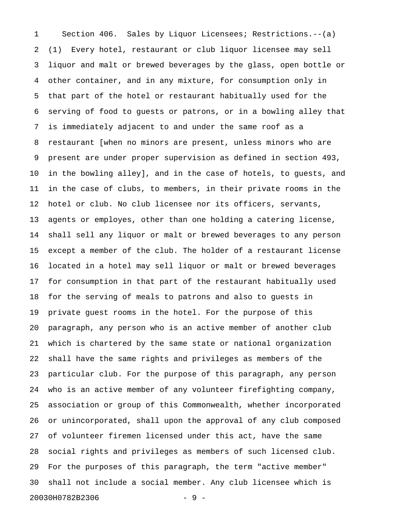1 Section 406. Sales by Liquor Licensees; Restrictions.--(a) 2 (1) Every hotel, restaurant or club liquor licensee may sell 3 liquor and malt or brewed beverages by the glass, open bottle or 4 other container, and in any mixture, for consumption only in 5 that part of the hotel or restaurant habitually used for the 6 serving of food to guests or patrons, or in a bowling alley that 7 is immediately adjacent to and under the same roof as a 8 restaurant [when no minors are present, unless minors who are 9 present are under proper supervision as defined in section 493, 10 in the bowling alley], and in the case of hotels, to guests, and 11 in the case of clubs, to members, in their private rooms in the 12 hotel or club. No club licensee nor its officers, servants, 13 agents or employes, other than one holding a catering license, 14 shall sell any liquor or malt or brewed beverages to any person 15 except a member of the club. The holder of a restaurant license 16 located in a hotel may sell liquor or malt or brewed beverages 17 for consumption in that part of the restaurant habitually used 18 for the serving of meals to patrons and also to guests in 19 private guest rooms in the hotel. For the purpose of this 20 paragraph, any person who is an active member of another club 21 which is chartered by the same state or national organization 22 shall have the same rights and privileges as members of the 23 particular club. For the purpose of this paragraph, any person 24 who is an active member of any volunteer firefighting company, 25 association or group of this Commonwealth, whether incorporated 26 or unincorporated, shall upon the approval of any club composed 27 of volunteer firemen licensed under this act, have the same 28 social rights and privileges as members of such licensed club. 29 For the purposes of this paragraph, the term "active member" 30 shall not include a social member. Any club licensee which is 20030H0782B2306 - 9 -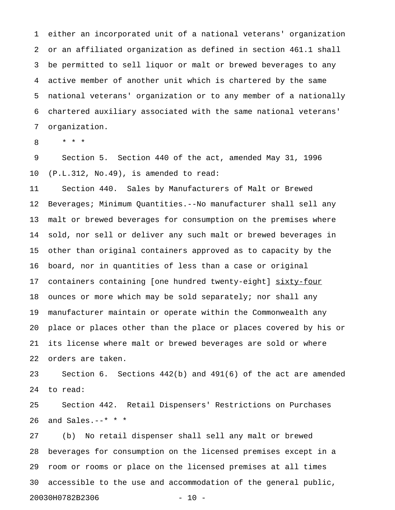1 either an incorporated unit of a national veterans' organization 2 or an affiliated organization as defined in section 461.1 shall 3 be permitted to sell liquor or malt or brewed beverages to any 4 active member of another unit which is chartered by the same 5 national veterans' organization or to any member of a nationally 6 chartered auxiliary associated with the same national veterans' 7 organization.

8 \* \* \*

9 Section 5. Section 440 of the act, amended May 31, 1996 10 (P.L.312, No.49), is amended to read:

11 Section 440. Sales by Manufacturers of Malt or Brewed 12 Beverages; Minimum Quantities.--No manufacturer shall sell any 13 malt or brewed beverages for consumption on the premises where 14 sold, nor sell or deliver any such malt or brewed beverages in 15 other than original containers approved as to capacity by the 16 board, nor in quantities of less than a case or original 17 containers containing [one hundred twenty-eight] sixty-four 18 ounces or more which may be sold separately; nor shall any 19 manufacturer maintain or operate within the Commonwealth any 20 place or places other than the place or places covered by his or 21 its license where malt or brewed beverages are sold or where 22 orders are taken.

23 Section 6. Sections 442(b) and 491(6) of the act are amended 24 to read:

25 Section 442. Retail Dispensers' Restrictions on Purchases 26 and Sales.--\* \* \*

27 (b) No retail dispenser shall sell any malt or brewed 28 beverages for consumption on the licensed premises except in a 29 room or rooms or place on the licensed premises at all times 30 accessible to the use and accommodation of the general public, 20030H0782B2306 - 10 -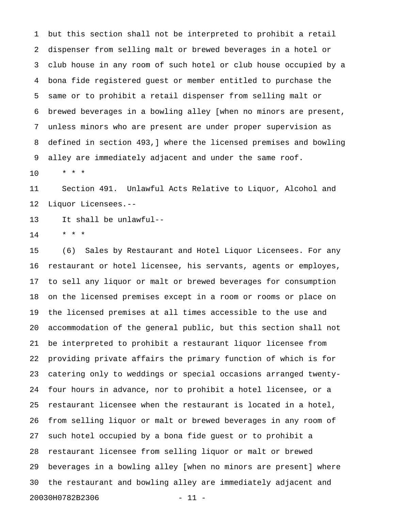1 but this section shall not be interpreted to prohibit a retail 2 dispenser from selling malt or brewed beverages in a hotel or 3 club house in any room of such hotel or club house occupied by a 4 bona fide registered guest or member entitled to purchase the 5 same or to prohibit a retail dispenser from selling malt or 6 brewed beverages in a bowling alley [when no minors are present, 7 unless minors who are present are under proper supervision as 8 defined in section 493,] where the licensed premises and bowling 9 alley are immediately adjacent and under the same roof.

10 \* \* \*

11 Section 491. Unlawful Acts Relative to Liquor, Alcohol and 12 Liquor Licensees.--

13 It shall be unlawful--

 $14$  \* \* \*

15 (6) Sales by Restaurant and Hotel Liquor Licensees. For any 16 restaurant or hotel licensee, his servants, agents or employes, 17 to sell any liquor or malt or brewed beverages for consumption 18 on the licensed premises except in a room or rooms or place on 19 the licensed premises at all times accessible to the use and 20 accommodation of the general public, but this section shall not 21 be interpreted to prohibit a restaurant liquor licensee from 22 providing private affairs the primary function of which is for 23 catering only to weddings or special occasions arranged twenty-24 four hours in advance, nor to prohibit a hotel licensee, or a 25 restaurant licensee when the restaurant is located in a hotel, 26 from selling liquor or malt or brewed beverages in any room of 27 such hotel occupied by a bona fide guest or to prohibit a 28 restaurant licensee from selling liquor or malt or brewed 29 beverages in a bowling alley [when no minors are present] where 30 the restaurant and bowling alley are immediately adjacent and 20030H0782B2306 - 11 -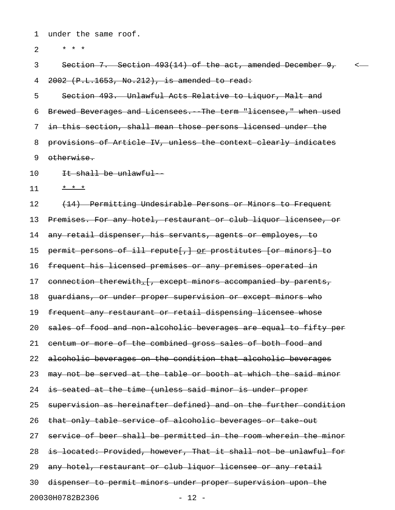1 under the same roof.

2  $* * * *$ 

3 Section 7. Section 493(14) of the act, amended December 9, < 4 2002 (P.L.1653, No.212), is amended to read:

5 Section 493. Unlawful Acts Relative to Liquor, Malt and 6 Brewed Beverages and Licensees. The term "licensee," when used 7 in this section, shall mean those persons licensed under the 8 provisions of Article IV, unless the context clearly indicates 9 otherwise.

10 It shall be unlawful-

 $11 + x + x$ 

12 (14) Permitting Undesirable Persons or Minors to Frequent 13 Premises. For any hotel, restaurant or club liquor licensee, or 14 any retail dispenser, his servants, agents or employes, to 15 permit persons of ill repute[, ] or prostitutes [or minors] to 16 frequent his licensed premises or any premises operated in 17 connection therewith. [, except minors accompanied by parents, 18 guardians, or under proper supervision or except minors who 19 frequent any restaurant or retail dispensing licensee whose 20 sales of food and non alcoholic beverages are equal to fifty per 21 centum or more of the combined gross sales of both food and 22 alcoholic beverages on the condition that alcoholic beverages 23 may not be served at the table or booth at which the said minor 24 is seated at the time (unless said minor is under proper 25 supervision as hereinafter defined) and on the further condition 26 that only table service of alcoholic beverages or take out 27 service of beer shall be permitted in the room wherein the minor 28 is located: Provided, however, That it shall not be unlawful for 29 any hotel, restaurant or club liquor licensee or any retail 30 dispenser to permit minors under proper supervision upon the 20030H0782B2306 - 12 -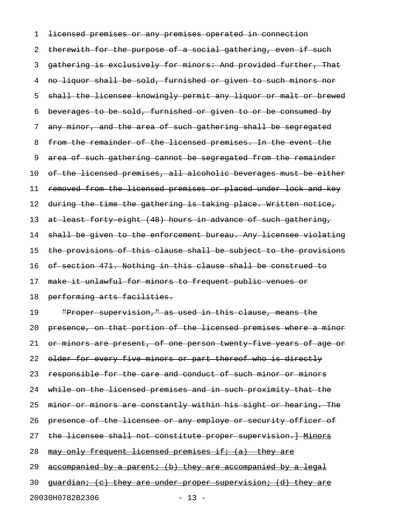1 licensed premises or any premises operated in connection 2 therewith for the purpose of a social gathering, even if such 3 gathering is exclusively for minors: And provided further, That 4 no liquor shall be sold, furnished or given to such minors nor 5 shall the licensee knowingly permit any liquor or malt or brewed 6 beverages to be sold, furnished or given to or be consumed by 7 any minor, and the area of such gathering shall be segregated 8 from the remainder of the licensed premises. In the event the 9 area of such gathering cannot be segregated from the remainder 10 of the licensed premises, all alcoholic beverages must be either 11 removed from the licensed premises or placed under lock and key 12 during the time the gathering is taking place. Written notice, 13 at least forty eight (48) hours in advance of such gathering, 14 shall be given to the enforcement bureau. Any licensee violating 15 the provisions of this clause shall be subject to the provisions 16 of section 471. Nothing in this clause shall be construed to 17 make it unlawful for minors to frequent public venues or 18 performing arts facilities. 19 "Proper supervision," as used in this clause, means the 20 presence, on that portion of the licensed premises where a minor 21 or minors are present, of one person twenty five years of age or 22 older for every five minors or part thereof who is directly 23 responsible for the care and conduct of such minor or minors 24 while on the licensed premises and in such proximity that the 25 minor or minors are constantly within his sight or hearing. The 26 presence of the licensee or any employe or security officer of 27 the licensee shall not constitute proper supervision. Henors 28 may only frequent licensed premises if;  $(a)$  they are

29 accompanied by a parent; (b) they are accompanied by a legal

30 <del>quardian; (c) they are under proper supervision; (d) they are</del>

20030H0782B2306 - 13 -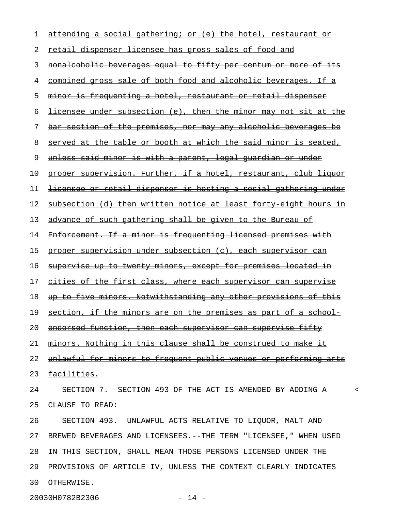| 1  | attending a social gathering; or (e) the hotel, restaurant<br>−O£   |
|----|---------------------------------------------------------------------|
| 2  | retail dispenser licensee has gross sales of food and               |
| 3  | nonalcoholic beverages equal to fifty per centum or more of its     |
| 4  | combined gross sale of both food and alcoholic beverages. If a      |
| 5  | <u>minor is frequenting a hotel, restaurant or retail dispenser</u> |
| 6  | licensee under subsection (e), then the minor may not sit at the    |
| 7  | bar section of the premises, nor may any alcoholic beverages be     |
| 8  | served at the table or booth at which the said minor is seated,     |
| 9  | <u>unless said minor is with a parent, legal quardian or under</u>  |
| 10 | proper supervision. Further, if a hotel, restaurant, club liquor    |
| 11 | licensee or retail dispenser is hosting a social gathering under    |
| 12 | subsection (d) then written notice at least forty eight hours in    |
| 13 | advance of such gathering shall be given to the Bureau of           |
| 14 | Enforcement. If a minor is frequenting licensed premises with       |
| 15 | proper supervision under subsection (c), each supervisor can        |
| 16 | supervise up to twenty minors, except for premises located in       |
| 17 | cities of the first class, where each supervisor can supervise      |
| 18 | up to five minors. Notwithstanding any other provisions of this     |
| 19 | section, if the minors are on the premises as part of a school      |
|    | 20 endorsed function, then each supervisor can supervise fifty      |
| 21 | minors. Nothing in this clause shall be construed to make it        |
| 22 | unlawful for minors to frequent public venues or performing arts    |
| 23 | <u>facilities.</u>                                                  |
| 24 | SECTION 7. SECTION 493 OF THE ACT IS AMENDED BY ADDING A            |
| 25 | CLAUSE TO READ:                                                     |
| 26 | SECTION 493. UNLAWFUL ACTS RELATIVE TO LIQUOR, MALT AND             |
| 27 | BREWED BEVERAGES AND LICENSEES. -- THE TERM "LICENSEE, " WHEN USED  |
| 28 | IN THIS SECTION, SHALL MEAN THOSE PERSONS LICENSED UNDER THE        |
| 29 | PROVISIONS OF ARTICLE IV, UNLESS THE CONTEXT CLEARLY INDICATES      |
| 30 | OTHERWISE.                                                          |

20030H0782B2306 - 14 -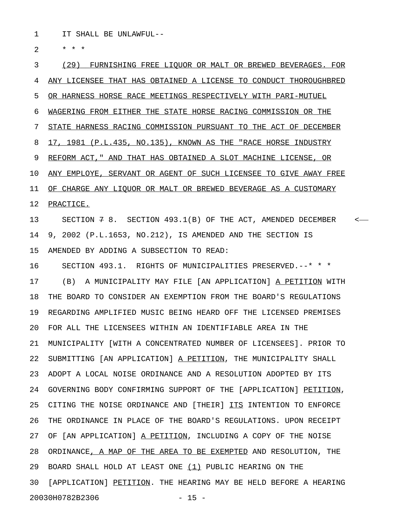1 IT SHALL BE UNLAWFUL--

 $2 * * * *$ 

3 (29) FURNISHING FREE LIQUOR OR MALT OR BREWED BEVERAGES. FOR 4 ANY LICENSEE THAT HAS OBTAINED A LICENSE TO CONDUCT THOROUGHBRED 5 OR HARNESS HORSE RACE MEETINGS RESPECTIVELY WITH PARI-MUTUEL 6 WAGERING FROM EITHER THE STATE HORSE RACING COMMISSION OR THE 7 STATE HARNESS RACING COMMISSION PURSUANT TO THE ACT OF DECEMBER 8 17, 1981 (P.L.435, NO.135), KNOWN AS THE "RACE HORSE INDUSTRY 9 REFORM ACT," AND THAT HAS OBTAINED A SLOT MACHINE LICENSE, OR 10 ANY EMPLOYE, SERVANT OR AGENT OF SUCH LICENSEE TO GIVE AWAY FREE 11 OF CHARGE ANY LIQUOR OR MALT OR BREWED BEVERAGE AS A CUSTOMARY 12 PRACTICE. 13 SECTION 7 8. SECTION 493.1(B) OF THE ACT, AMENDED DECEMBER <-14 9, 2002 (P.L.1653, NO.212), IS AMENDED AND THE SECTION IS 15 AMENDED BY ADDING A SUBSECTION TO READ: 16 SECTION 493.1. RIGHTS OF MUNICIPALITIES PRESERVED.--\* \* \* 17 (B) A MUNICIPALITY MAY FILE [AN APPLICATION] A PETITION WITH 18 THE BOARD TO CONSIDER AN EXEMPTION FROM THE BOARD'S REGULATIONS 19 REGARDING AMPLIFIED MUSIC BEING HEARD OFF THE LICENSED PREMISES 20 FOR ALL THE LICENSEES WITHIN AN IDENTIFIABLE AREA IN THE 21 MUNICIPALITY [WITH A CONCENTRATED NUMBER OF LICENSEES]. PRIOR TO 22 SUBMITTING [AN APPLICATION] A PETITION, THE MUNICIPALITY SHALL 23 ADOPT A LOCAL NOISE ORDINANCE AND A RESOLUTION ADOPTED BY ITS 24 GOVERNING BODY CONFIRMING SUPPORT OF THE [APPLICATION] PETITION, 25 CITING THE NOISE ORDINANCE AND [THEIR] ITS INTENTION TO ENFORCE 26 THE ORDINANCE IN PLACE OF THE BOARD'S REGULATIONS. UPON RECEIPT 27 OF [AN APPLICATION] A PETITION, INCLUDING A COPY OF THE NOISE 28 ORDINANCE, A MAP OF THE AREA TO BE EXEMPTED AND RESOLUTION, THE 29 BOARD SHALL HOLD AT LEAST ONE (1) PUBLIC HEARING ON THE 30 [APPLICATION] PETITION. THE HEARING MAY BE HELD BEFORE A HEARING 20030H0782B2306 - 15 -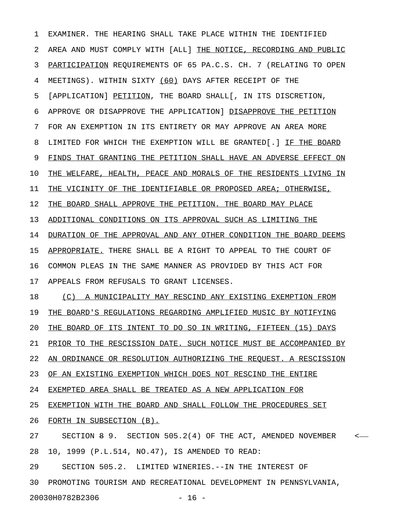1 EXAMINER. THE HEARING SHALL TAKE PLACE WITHIN THE IDENTIFIED 2 AREA AND MUST COMPLY WITH [ALL] THE NOTICE, RECORDING AND PUBLIC 3 PARTICIPATION REQUIREMENTS OF 65 PA.C.S. CH. 7 (RELATING TO OPEN 4 MEETINGS). WITHIN SIXTY (60) DAYS AFTER RECEIPT OF THE 5 [APPLICATION] PETITION, THE BOARD SHALL[, IN ITS DISCRETION, 6 APPROVE OR DISAPPROVE THE APPLICATION] DISAPPROVE THE PETITION 7 FOR AN EXEMPTION IN ITS ENTIRETY OR MAY APPROVE AN AREA MORE 8 LIMITED FOR WHICH THE EXEMPTION WILL BE GRANTED[.] IF THE BOARD 9 FINDS THAT GRANTING THE PETITION SHALL HAVE AN ADVERSE EFFECT ON 10 THE WELFARE, HEALTH, PEACE AND MORALS OF THE RESIDENTS LIVING IN 11 THE VICINITY OF THE IDENTIFIABLE OR PROPOSED AREA; OTHERWISE, 12 THE BOARD SHALL APPROVE THE PETITION. THE BOARD MAY PLACE 13 ADDITIONAL CONDITIONS ON ITS APPROVAL SUCH AS LIMITING THE 14 DURATION OF THE APPROVAL AND ANY OTHER CONDITION THE BOARD DEEMS 15 APPROPRIATE. THERE SHALL BE A RIGHT TO APPEAL TO THE COURT OF 16 COMMON PLEAS IN THE SAME MANNER AS PROVIDED BY THIS ACT FOR 17 APPEALS FROM REFUSALS TO GRANT LICENSES. 18 (C) A MUNICIPALITY MAY RESCIND ANY EXISTING EXEMPTION FROM 19 THE BOARD'S REGULATIONS REGARDING AMPLIFIED MUSIC BY NOTIFYING 20 THE BOARD OF ITS INTENT TO DO SO IN WRITING, FIFTEEN (15) DAYS 21 PRIOR TO THE RESCISSION DATE. SUCH NOTICE MUST BE ACCOMPANIED BY 22 AN ORDINANCE OR RESOLUTION AUTHORIZING THE REQUEST. A RESCISSION 23 OF AN EXISTING EXEMPTION WHICH DOES NOT RESCIND THE ENTIRE 24 EXEMPTED AREA SHALL BE TREATED AS A NEW APPLICATION FOR 25 EXEMPTION WITH THE BOARD AND SHALL FOLLOW THE PROCEDURES SET 26 FORTH IN SUBSECTION (B). 27 SECTION  $\theta$  9. SECTION 505.2(4) OF THE ACT, AMENDED NOVEMBER <-28 10, 1999 (P.L.514, NO.47), IS AMENDED TO READ: 29 SECTION 505.2. LIMITED WINERIES.--IN THE INTEREST OF 30 PROMOTING TOURISM AND RECREATIONAL DEVELOPMENT IN PENNSYLVANIA,

20030H0782B2306 - 16 -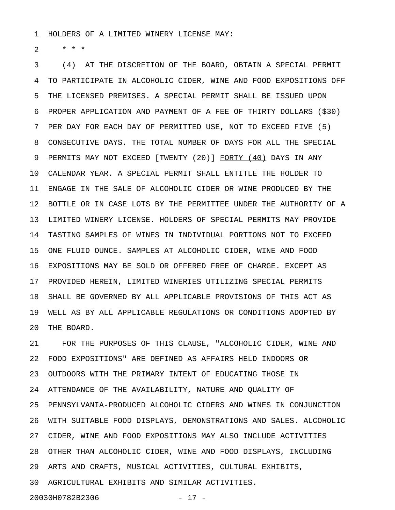1 HOLDERS OF A LIMITED WINERY LICENSE MAY:

 $2 * * * *$ 

3 (4) AT THE DISCRETION OF THE BOARD, OBTAIN A SPECIAL PERMIT 4 TO PARTICIPATE IN ALCOHOLIC CIDER, WINE AND FOOD EXPOSITIONS OFF 5 THE LICENSED PREMISES. A SPECIAL PERMIT SHALL BE ISSUED UPON 6 PROPER APPLICATION AND PAYMENT OF A FEE OF THIRTY DOLLARS (\$30) 7 PER DAY FOR EACH DAY OF PERMITTED USE, NOT TO EXCEED FIVE (5) 8 CONSECUTIVE DAYS. THE TOTAL NUMBER OF DAYS FOR ALL THE SPECIAL 9 PERMITS MAY NOT EXCEED [TWENTY (20)] FORTY (40) DAYS IN ANY 10 CALENDAR YEAR. A SPECIAL PERMIT SHALL ENTITLE THE HOLDER TO 11 ENGAGE IN THE SALE OF ALCOHOLIC CIDER OR WINE PRODUCED BY THE 12 BOTTLE OR IN CASE LOTS BY THE PERMITTEE UNDER THE AUTHORITY OF A 13 LIMITED WINERY LICENSE. HOLDERS OF SPECIAL PERMITS MAY PROVIDE 14 TASTING SAMPLES OF WINES IN INDIVIDUAL PORTIONS NOT TO EXCEED 15 ONE FLUID OUNCE. SAMPLES AT ALCOHOLIC CIDER, WINE AND FOOD 16 EXPOSITIONS MAY BE SOLD OR OFFERED FREE OF CHARGE. EXCEPT AS 17 PROVIDED HEREIN, LIMITED WINERIES UTILIZING SPECIAL PERMITS 18 SHALL BE GOVERNED BY ALL APPLICABLE PROVISIONS OF THIS ACT AS 19 WELL AS BY ALL APPLICABLE REGULATIONS OR CONDITIONS ADOPTED BY 20 THE BOARD.

21 FOR THE PURPOSES OF THIS CLAUSE, "ALCOHOLIC CIDER, WINE AND 22 FOOD EXPOSITIONS" ARE DEFINED AS AFFAIRS HELD INDOORS OR 23 OUTDOORS WITH THE PRIMARY INTENT OF EDUCATING THOSE IN 24 ATTENDANCE OF THE AVAILABILITY, NATURE AND QUALITY OF 25 PENNSYLVANIA-PRODUCED ALCOHOLIC CIDERS AND WINES IN CONJUNCTION 26 WITH SUITABLE FOOD DISPLAYS, DEMONSTRATIONS AND SALES. ALCOHOLIC 27 CIDER, WINE AND FOOD EXPOSITIONS MAY ALSO INCLUDE ACTIVITIES 28 OTHER THAN ALCOHOLIC CIDER, WINE AND FOOD DISPLAYS, INCLUDING 29 ARTS AND CRAFTS, MUSICAL ACTIVITIES, CULTURAL EXHIBITS, 30 AGRICULTURAL EXHIBITS AND SIMILAR ACTIVITIES.

20030H0782B2306 - 17 -